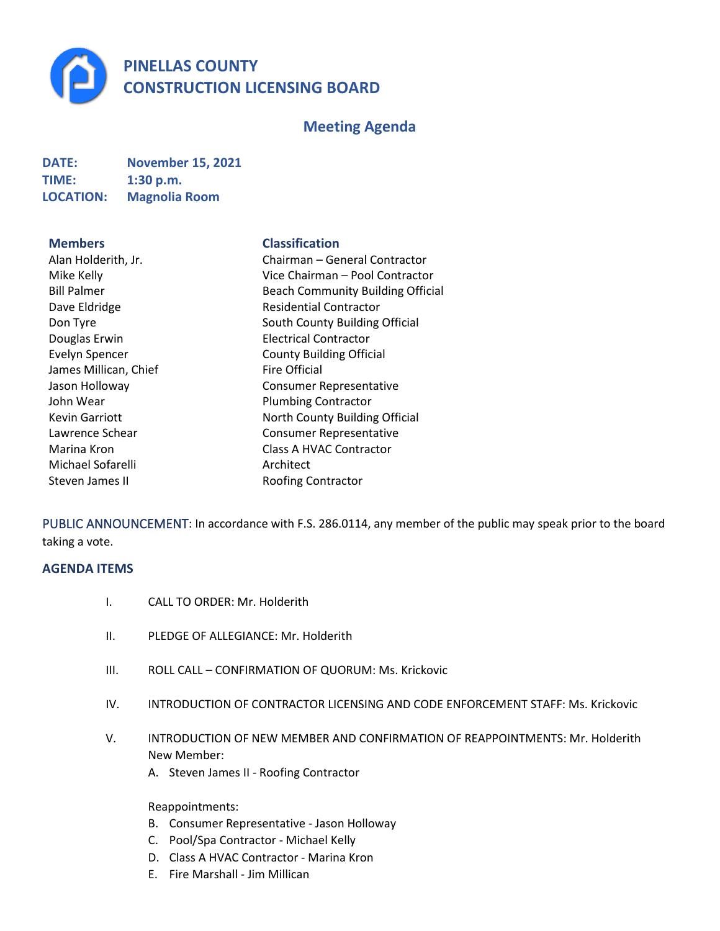

# **Meeting Agenda**

| <b>DATE:</b>     | <b>November 15, 2021</b> |
|------------------|--------------------------|
| TIME:            | 1:30 p.m.                |
| <b>LOCATION:</b> | <b>Magnolia Room</b>     |

#### **Members Classification**

| Alan Holderith, Jr.   |
|-----------------------|
| Mike Kelly            |
| <b>Bill Palmer</b>    |
| Dave Eldridge         |
| Don Tyre              |
| Douglas Erwin         |
| <b>Evelyn Spencer</b> |
| James Millican, Chief |
| Jason Holloway        |
| John Wear             |
| <b>Kevin Garriott</b> |
| Lawrence Schear       |
| Marina Kron           |
| Michael Sofarelli     |
| Steven James II       |
|                       |

Chairman – General Contractor Vice Chairman – Pool Contractor Beach Community Building Official Residential Contractor South County Building Official **Electrical Contractor** County Building Official **Fire Official** Consumer Representative Plumbing Contractor North County Building Official Consumer Representative Class A HVAC Contractor Architect Roofing Contractor

PUBLIC ANNOUNCEMENT: In accordance with F.S. 286.0114, any member of the public may speak prior to the board taking a vote.

### **AGENDA ITEMS**

- I. CALL TO ORDER: Mr. Holderith
- II. PLEDGE OF ALLEGIANCE: Mr. Holderith
- III. ROLL CALL CONFIRMATION OF QUORUM: Ms. Krickovic
- IV. INTRODUCTION OF CONTRACTOR LICENSING AND CODE ENFORCEMENT STAFF: Ms. Krickovic
- V. INTRODUCTION OF NEW MEMBER AND CONFIRMATION OF REAPPOINTMENTS: Mr. Holderith New Member:
	- A. Steven James II Roofing Contractor

Reappointments:

- B. Consumer Representative Jason Holloway
- C. Pool/Spa Contractor Michael Kelly
- D. Class A HVAC Contractor Marina Kron
- E. Fire Marshall Jim Millican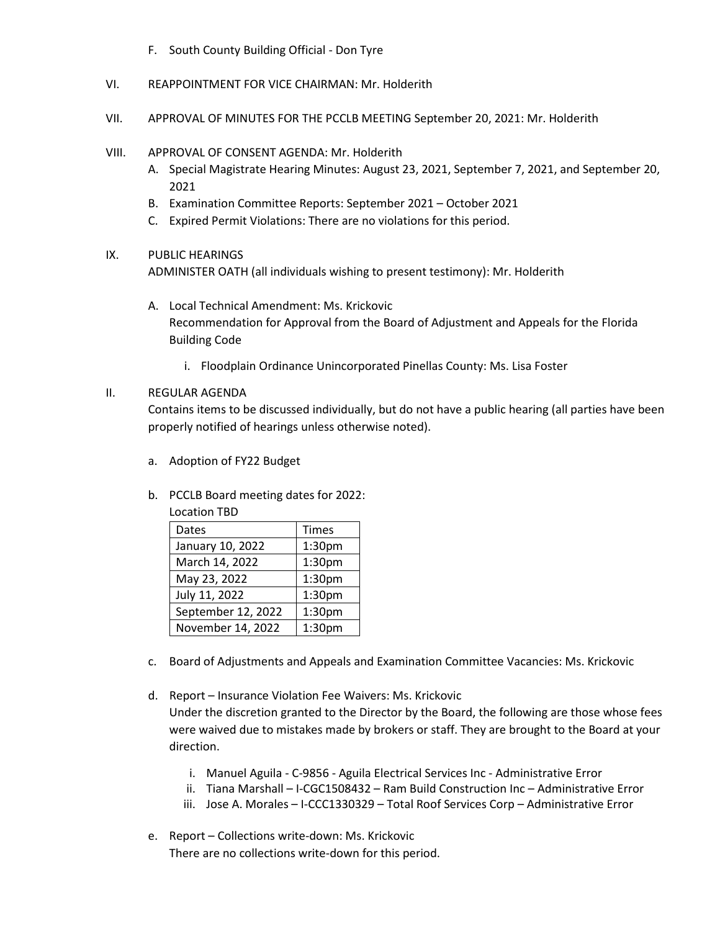- F. South County Building Official Don Tyre
- VI. REAPPOINTMENT FOR VICE CHAIRMAN: Mr. Holderith
- VII. APPROVAL OF MINUTES FOR THE PCCLB MEETING September 20, 2021: Mr. Holderith
- VIII. APPROVAL OF CONSENT AGENDA: Mr. Holderith
	- A. Special Magistrate Hearing Minutes: August 23, 2021, September 7, 2021, and September 20, 2021
	- B. Examination Committee Reports: September 2021 October 2021
	- C. Expired Permit Violations: There are no violations for this period.

#### IX. PUBLIC HEARINGS

ADMINISTER OATH (all individuals wishing to present testimony): Mr. Holderith

- A. Local Technical Amendment: Ms. Krickovic Recommendation for Approval from the Board of Adjustment and Appeals for the Florida Building Code
	- i. Floodplain Ordinance Unincorporated Pinellas County: Ms. Lisa Foster

## II. REGULAR AGENDA

Contains items to be discussed individually, but do not have a public hearing (all parties have been properly notified of hearings unless otherwise noted).

- a. Adoption of FY22 Budget
- b. PCCLB Board meeting dates for 2022:
	- Location TBD

| Dates              | <b>Times</b>       |
|--------------------|--------------------|
| January 10, 2022   | 1:30pm             |
| March 14, 2022     | 1:30pm             |
| May 23, 2022       | 1:30pm             |
| July 11, 2022      | 1:30pm             |
| September 12, 2022 | 1:30pm             |
| November 14, 2022  | 1:30 <sub>pm</sub> |

- c. Board of Adjustments and Appeals and Examination Committee Vacancies: Ms. Krickovic
- d. Report Insurance Violation Fee Waivers: Ms. Krickovic Under the discretion granted to the Director by the Board, the following are those whose fees were waived due to mistakes made by brokers or staff. They are brought to the Board at your direction.
	- i. Manuel Aguila C-9856 Aguila Electrical Services Inc Administrative Error
	- ii. Tiana Marshall I-CGC1508432 Ram Build Construction Inc Administrative Error
	- iii. Jose A. Morales I-CCC1330329 Total Roof Services Corp Administrative Error
- e. Report Collections write-down: Ms. Krickovic There are no collections write-down for this period.